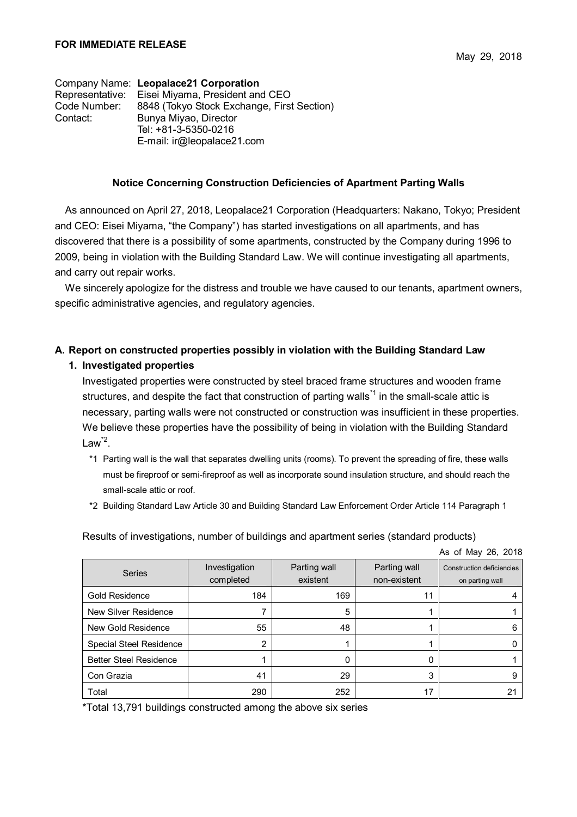Company Name: **Leopalace21 Corporation** Representative: Eisei Miyama, President and CEO Code Number: 8848 (Tokyo Stock Exchange, First Section) Contact: Bunya Miyao, Director Tel: +81-3-5350-0216 E-mail: ir@leopalace21.com

#### **Notice Concerning Construction Deficiencies of Apartment Parting Walls**

As announced on April 27, 2018, Leopalace21 Corporation (Headquarters: Nakano, Tokyo; President and CEO: Eisei Miyama, "the Company") has started investigations on all apartments, and has discovered that there is a possibility of some apartments, constructed by the Company during 1996 to 2009, being in violation with the Building Standard Law. We will continue investigating all apartments, and carry out repair works.

We sincerely apologize for the distress and trouble we have caused to our tenants, apartment owners, specific administrative agencies, and regulatory agencies.

### **A. Report on constructed properties possibly in violation with the Building Standard Law**

#### **1. Investigated properties**

Investigated properties were constructed by steel braced frame structures and wooden frame structures, and despite the fact that construction of parting walls<sup>\*1</sup> in the small-scale attic is necessary, parting walls were not constructed or construction was insufficient in these properties. We believe these properties have the possibility of being in violation with the Building Standard Law $^{*2}$ .

- \*1 Parting wall is the wall that separates dwelling units (rooms). To prevent the spreading of fire, these walls must be fireproof or semi-fireproof as well as incorporate sound insulation structure, and should reach the small-scale attic or roof.
- \*2 Building Standard Law Article 30 and Building Standard Law Enforcement Order Article 114 Paragraph 1

Results of investigations, number of buildings and apartment series (standard products)

As of May 26, 2018

| <b>Series</b>                  | Investigation<br>completed | Parting wall<br>existent | Parting wall<br>non-existent | <b>Construction deficiencies</b><br>on parting wall |
|--------------------------------|----------------------------|--------------------------|------------------------------|-----------------------------------------------------|
| Gold Residence                 | 184                        | 169                      | 11                           |                                                     |
| New Silver Residence           |                            | 5                        |                              |                                                     |
| New Gold Residence             | 55                         | 48                       |                              |                                                     |
| <b>Special Steel Residence</b> | 2                          |                          |                              |                                                     |
| <b>Better Steel Residence</b>  |                            | O                        |                              |                                                     |
| Con Grazia                     | 41                         | 29                       | 3                            |                                                     |
| Total                          | 290                        | 252                      | 17                           |                                                     |

\*Total 13,791 buildings constructed among the above six series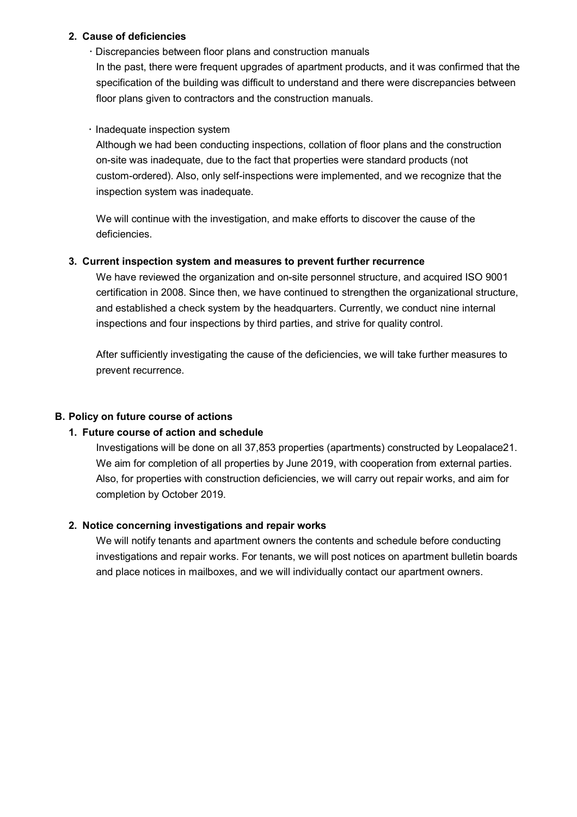### **2. Cause of deficiencies**

 Discrepancies between floor plans and construction manuals In the past, there were frequent upgrades of apartment products, and it was confirmed that the specification of the building was difficult to understand and there were discrepancies between floor plans given to contractors and the construction manuals.

## $\cdot$  Inadequate inspection system

Although we had been conducting inspections, collation of floor plans and the construction on-site was inadequate, due to the fact that properties were standard products (not custom-ordered). Also, only self-inspections were implemented, and we recognize that the inspection system was inadequate.

We will continue with the investigation, and make efforts to discover the cause of the deficiencies.

## **3. Current inspection system and measures to prevent further recurrence**

We have reviewed the organization and on-site personnel structure, and acquired ISO 9001 certification in 2008. Since then, we have continued to strengthen the organizational structure, and established a check system by the headquarters. Currently, we conduct nine internal inspections and four inspections by third parties, and strive for quality control.

After sufficiently investigating the cause of the deficiencies, we will take further measures to prevent recurrence.

# **B. Policy on future course of actions**

# **1. Future course of action and schedule**

Investigations will be done on all 37,853 properties (apartments) constructed by Leopalace21. We aim for completion of all properties by June 2019, with cooperation from external parties. Also, for properties with construction deficiencies, we will carry out repair works, and aim for completion by October 2019.

# **2. Notice concerning investigations and repair works**

We will notify tenants and apartment owners the contents and schedule before conducting investigations and repair works. For tenants, we will post notices on apartment bulletin boards and place notices in mailboxes, and we will individually contact our apartment owners.